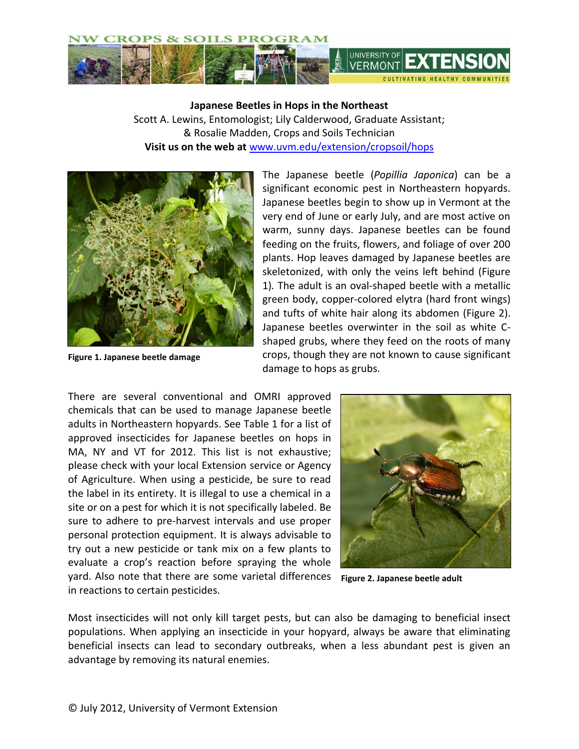

**Japanese Beetles in Hops in the Northeast** Scott A. Lewins, Entomologist; Lily Calderwood, Graduate Assistant; & Rosalie Madden, Crops and Soils Technician **Visit us on the web at** <www.uvm.edu/extension/cropsoil/hops>



**Figure 1. Japanese beetle damage**

The Japanese beetle (*Popillia Japonica*) can be a significant economic pest in Northeastern hopyards. Japanese beetles begin to show up in Vermont at the very end of June or early July, and are most active on warm, sunny days. Japanese beetles can be found feeding on the fruits, flowers, and foliage of over 200 plants. Hop leaves damaged by Japanese beetles are skeletonized, with only the veins left behind (Figure 1)*.* The adult is an oval-shaped beetle with a metallic green body, copper-colored elytra (hard front wings) and tufts of white hair along its abdomen (Figure 2). Japanese beetles overwinter in the soil as white Cshaped grubs, where they feed on the roots of many crops, though they are not known to cause significant damage to hops as grubs.

There are several conventional and OMRI approved chemicals that can be used to manage Japanese beetle adults in Northeastern hopyards. See Table 1 for a list of approved insecticides for Japanese beetles on hops in MA, NY and VT for 2012. This list is not exhaustive; please check with your local Extension service or Agency of Agriculture. When using a pesticide, be sure to read the label in its entirety. It is illegal to use a chemical in a site or on a pest for which it is not specifically labeled. Be sure to adhere to pre-harvest intervals and use proper personal protection equipment. It is always advisable to try out a new pesticide or tank mix on a few plants to evaluate a crop's reaction before spraying the whole yard. Also note that there are some varietal differences in reactions to certain pesticides.



**Figure 2. Japanese beetle adult**

Most insecticides will not only kill target pests, but can also be damaging to beneficial insect populations. When applying an insecticide in your hopyard, always be aware that eliminating beneficial insects can lead to secondary outbreaks, when a less abundant pest is given an advantage by removing its natural enemies.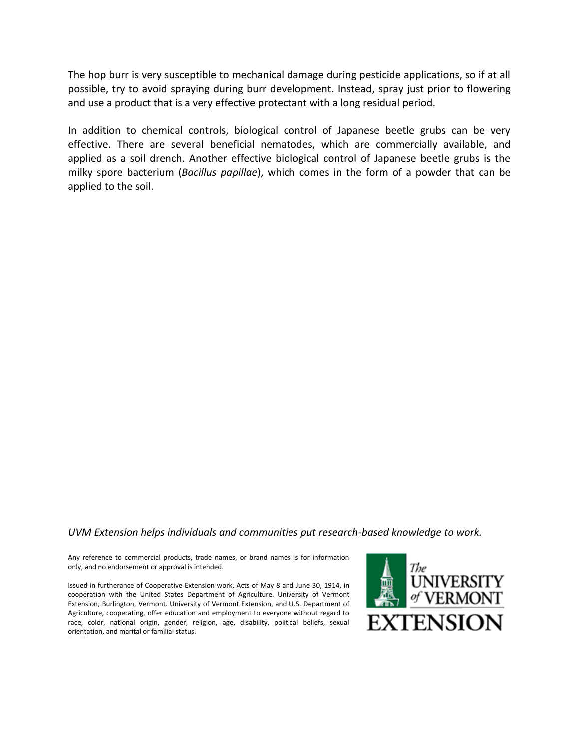The hop burr is very susceptible to mechanical damage during pesticide applications, so if at all possible, try to avoid spraying during burr development. Instead, spray just prior to flowering and use a product that is a very effective protectant with a long residual period.

In addition to chemical controls, biological control of Japanese beetle grubs can be very effective. There are several beneficial nematodes, which are commercially available, and applied as a soil drench. Another effective biological control of Japanese beetle grubs is the milky spore bacterium (*Bacillus papillae*), which comes in the form of a powder that can be applied to the soil.

## *UVM Extension helps individuals and communities put research-based knowledge to work.*

Any reference to commercial products, trade names, or brand names is for information only, and no endorsement or approval is intended.

Issued in furtherance of Cooperative Extension work, Acts of May 8 and June 30, 1914, in cooperation with the United States Department of Agriculture. University of Vermont Extension, Burlington, Vermont. University of Vermont Extension, and U.S. Department of Agriculture, cooperating, offer education and employment to everyone without regard to race, color, national origin, gender, religion, age, disability, political beliefs, sexual orientation, and marital or familial status.